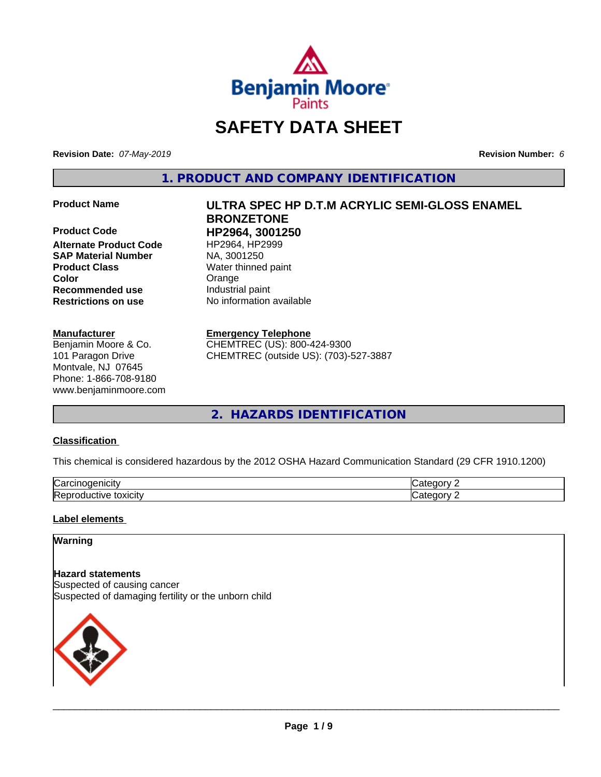

# **SAFETY DATA SHEET**

**Revision Date:** *07-May-2019* **Revision Number:** *6*

**1. PRODUCT AND COMPANY IDENTIFICATION**

**Product Code HP2964, 3001250 Alternate Product Code** HP2964, HP2<br> **SAP Material Number** NA, 3001250 **SAP Material Number Product Class** Water thinned paint **Color Color Color Orange Recommended use** Industrial paint **Restrictions on use** No information available

#### **Manufacturer**

Benjamin Moore & Co. 101 Paragon Drive Montvale, NJ 07645 Phone: 1-866-708-9180 www.benjaminmoore.com

# **Product Name ULTRA SPEC HP D.T.M ACRYLIC SEMI-GLOSS ENAMEL BRONZETONE**

#### **Emergency Telephone**

CHEMTREC (US): 800-424-9300 CHEMTREC (outside US): (703)-527-3887

**2. HAZARDS IDENTIFICATION**

#### **Classification**

This chemical is considered hazardous by the 2012 OSHA Hazard Communication Standard (29 CFR 1910.1200)

| $\sim$<br>.<br>ш<br>ιUα                                                       |     |
|-------------------------------------------------------------------------------|-----|
| חו<br>$+2112121$<br>$- - -$<br>-<br>ıνe<br>. .<br>т. ⊢<br><b>UAIGILY</b><br>. | --- |

# **Label elements**

#### **Warning**

**Hazard statements** Suspected of causing cancer Suspected of damaging fertility or the unborn child

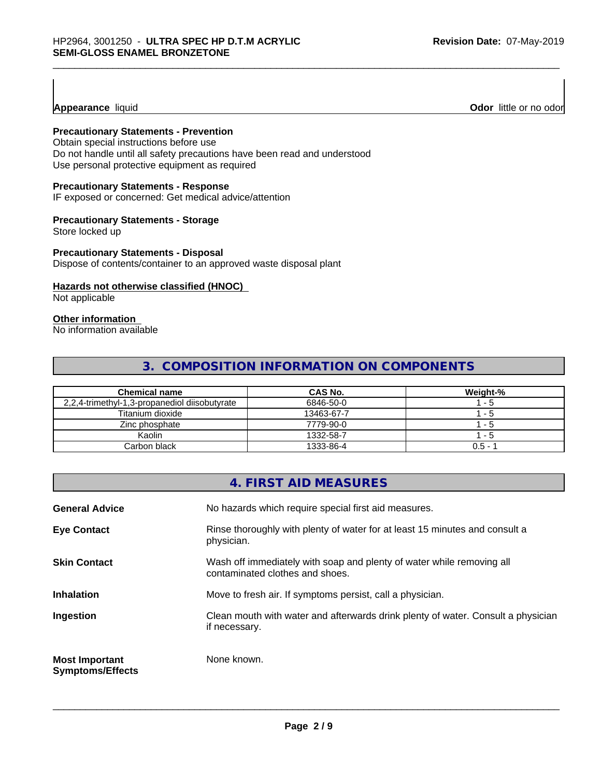#### **Appearance** liquid **Odor 11 Odor 11 Odor 11 Odor 11 Odor 11 Odor 11 Odor 11 Odor 11 Odor 11 Odor 11 Odor 11 Odor 11 Odor 11 Odor 11 Odor 11 Odor 11 Odor 11 Odor 11**

# **Precautionary Statements - Prevention**

Obtain special instructions before use Do not handle until all safety precautions have been read and understood Use personal protective equipment as required

#### **Precautionary Statements - Response**

IF exposed or concerned: Get medical advice/attention

#### **Precautionary Statements - Storage**

Store locked up

#### **Precautionary Statements - Disposal**

Dispose of contents/container to an approved waste disposal plant

#### **Hazards not otherwise classified (HNOC)**

Not applicable

# **Other information**

No information available

# **3. COMPOSITION INFORMATION ON COMPONENTS**

| <b>Chemical name</b>                          | CAS No.    | Weight-% |
|-----------------------------------------------|------------|----------|
| 2,2,4-trimethyl-1,3-propanediol diisobutyrate | 6846-50-0  | - 5      |
| Titanium dioxide                              | 13463-67-7 | - 5      |
| Zinc phosphate                                | 7779-90-0  | - 5      |
| Kaolin                                        | 1332-58-7  | - 5      |
| Carbon black                                  | 1333-86-4  | $0.5 -$  |

|                                                  | 4. FIRST AID MEASURES                                                                                    |
|--------------------------------------------------|----------------------------------------------------------------------------------------------------------|
| <b>General Advice</b>                            | No hazards which require special first aid measures.                                                     |
| <b>Eye Contact</b>                               | Rinse thoroughly with plenty of water for at least 15 minutes and consult a<br>physician.                |
| <b>Skin Contact</b>                              | Wash off immediately with soap and plenty of water while removing all<br>contaminated clothes and shoes. |
| <b>Inhalation</b>                                | Move to fresh air. If symptoms persist, call a physician.                                                |
| Ingestion                                        | Clean mouth with water and afterwards drink plenty of water. Consult a physician<br>if necessary.        |
| <b>Most Important</b><br><b>Symptoms/Effects</b> | None known.                                                                                              |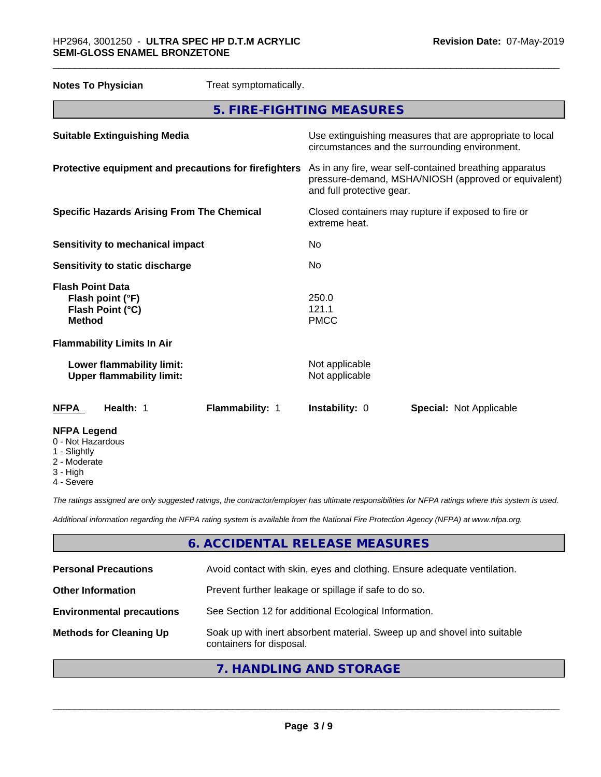| <b>Notes To Physician</b>                                                        | Treat symptomatically.    |                                                                                                                                              |                                |  |
|----------------------------------------------------------------------------------|---------------------------|----------------------------------------------------------------------------------------------------------------------------------------------|--------------------------------|--|
|                                                                                  | 5. FIRE-FIGHTING MEASURES |                                                                                                                                              |                                |  |
| <b>Suitable Extinguishing Media</b>                                              |                           | Use extinguishing measures that are appropriate to local<br>circumstances and the surrounding environment.                                   |                                |  |
| Protective equipment and precautions for firefighters                            |                           | As in any fire, wear self-contained breathing apparatus<br>pressure-demand, MSHA/NIOSH (approved or equivalent)<br>and full protective gear. |                                |  |
| <b>Specific Hazards Arising From The Chemical</b>                                |                           | Closed containers may rupture if exposed to fire or<br>extreme heat.                                                                         |                                |  |
| <b>Sensitivity to mechanical impact</b>                                          |                           | No                                                                                                                                           |                                |  |
| Sensitivity to static discharge                                                  |                           | No                                                                                                                                           |                                |  |
| <b>Flash Point Data</b><br>Flash point (°F)<br>Flash Point (°C)<br><b>Method</b> |                           | 250.0<br>121.1<br><b>PMCC</b>                                                                                                                |                                |  |
| <b>Flammability Limits In Air</b>                                                |                           |                                                                                                                                              |                                |  |
| Lower flammability limit:<br><b>Upper flammability limit:</b>                    |                           | Not applicable<br>Not applicable                                                                                                             |                                |  |
| <b>NFPA</b><br>Health: 1                                                         | Flammability: 1           | Instability: 0                                                                                                                               | <b>Special: Not Applicable</b> |  |
| <b>NFPA Legend</b><br>0 - Not Hazardous<br>1 - Slightly                          |                           |                                                                                                                                              |                                |  |

- 2 Moderate
- 
- 3 High 4 - Severe

*The ratings assigned are only suggested ratings, the contractor/employer has ultimate responsibilities for NFPA ratings where this system is used.*

*Additional information regarding the NFPA rating system is available from the National Fire Protection Agency (NFPA) at www.nfpa.org.*

# **6. ACCIDENTAL RELEASE MEASURES**

| <b>Personal Precautions</b>      | Avoid contact with skin, eyes and clothing. Ensure adequate ventilation.                             |
|----------------------------------|------------------------------------------------------------------------------------------------------|
| <b>Other Information</b>         | Prevent further leakage or spillage if safe to do so.                                                |
| <b>Environmental precautions</b> | See Section 12 for additional Ecological Information.                                                |
| <b>Methods for Cleaning Up</b>   | Soak up with inert absorbent material. Sweep up and shovel into suitable<br>containers for disposal. |
|                                  |                                                                                                      |

# **7. HANDLING AND STORAGE**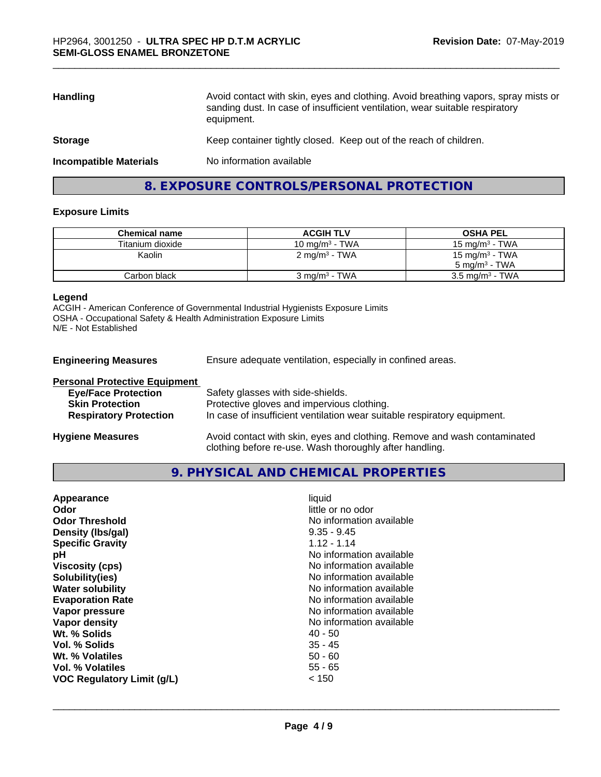| <b>Handling</b>               | Avoid contact with skin, eyes and clothing. Avoid breathing vapors, spray mists or<br>sanding dust. In case of insufficient ventilation, wear suitable respiratory<br>equipment. |
|-------------------------------|----------------------------------------------------------------------------------------------------------------------------------------------------------------------------------|
| <b>Storage</b>                | Keep container tightly closed. Keep out of the reach of children.                                                                                                                |
| <b>Incompatible Materials</b> | No information available                                                                                                                                                         |
|                               |                                                                                                                                                                                  |

# **8. EXPOSURE CONTROLS/PERSONAL PROTECTION**

#### **Exposure Limits**

| Chemical name    | <b>ACGIH TLV</b>          | <b>OSHA PEL</b>            |
|------------------|---------------------------|----------------------------|
| Titanium dioxide | 10 mg/m $3$ - TWA         | 15 mg/m $3$ - TWA          |
| Kaolin           | 2 mg/m <sup>3</sup> - TWA | 15 mg/m <sup>3</sup> - TWA |
|                  |                           | $5 \text{ ma/m}^3$ - TWA   |
| Carbon black     | $3 \text{ ma/m}^3$ - TWA  | $3.5 \text{ mg/m}^3$ - TWA |

#### **Legend**

ACGIH - American Conference of Governmental Industrial Hygienists Exposure Limits OSHA - Occupational Safety & Health Administration Exposure Limits N/E - Not Established

**Engineering Measures** Ensure adequate ventilation, especially in confined areas.

| <b>Personal Protective Equipment</b> |                                                                                                                                     |
|--------------------------------------|-------------------------------------------------------------------------------------------------------------------------------------|
| <b>Eye/Face Protection</b>           | Safety glasses with side-shields.                                                                                                   |
| <b>Skin Protection</b>               | Protective gloves and impervious clothing.                                                                                          |
| <b>Respiratory Protection</b>        | In case of insufficient ventilation wear suitable respiratory equipment.                                                            |
| <b>Hygiene Measures</b>              | Avoid contact with skin, eyes and clothing. Remove and wash contaminated<br>clothing before re-use. Wash thoroughly after handling. |

#### **9. PHYSICAL AND CHEMICAL PROPERTIES**

| little or no odor<br>Odor<br><b>Odor Threshold</b><br>No information available<br>$9.35 - 9.45$<br>Density (Ibs/gal)<br>$1.12 - 1.14$<br><b>Specific Gravity</b><br>No information available<br>рH<br>No information available<br><b>Viscosity (cps)</b><br>No information available<br>Solubility(ies)<br><b>Water solubility</b><br>No information available<br>No information available<br><b>Evaporation Rate</b><br>No information available<br>Vapor pressure<br>Vapor density<br>No information available<br>Wt. % Solids<br>40 - 50<br>$35 - 45$<br>Vol. % Solids<br>Wt. % Volatiles<br>$50 - 60$<br>$55 - 65$<br>Vol. % Volatiles<br><b>VOC Regulatory Limit (g/L)</b><br>< 150 |
|------------------------------------------------------------------------------------------------------------------------------------------------------------------------------------------------------------------------------------------------------------------------------------------------------------------------------------------------------------------------------------------------------------------------------------------------------------------------------------------------------------------------------------------------------------------------------------------------------------------------------------------------------------------------------------------|
|------------------------------------------------------------------------------------------------------------------------------------------------------------------------------------------------------------------------------------------------------------------------------------------------------------------------------------------------------------------------------------------------------------------------------------------------------------------------------------------------------------------------------------------------------------------------------------------------------------------------------------------------------------------------------------------|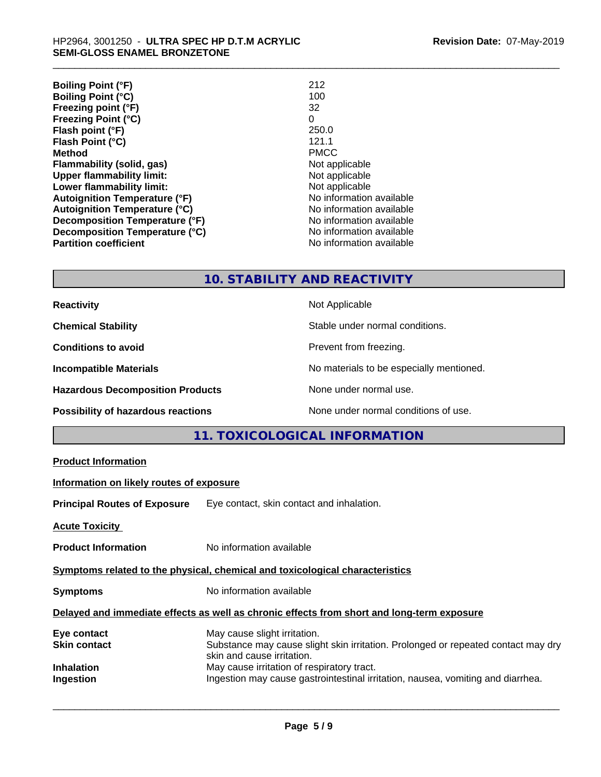| 212                      |
|--------------------------|
| 100                      |
| 32                       |
| 0                        |
| 250.0                    |
| 121.1                    |
| <b>PMCC</b>              |
| Not applicable           |
| Not applicable           |
| Not applicable           |
| No information available |
| No information available |
| No information available |
| No information available |
| No information available |
|                          |

# **10. STABILITY AND REACTIVITY**

| <b>Reactivity</b>                         | Not Applicable                           |
|-------------------------------------------|------------------------------------------|
| <b>Chemical Stability</b>                 | Stable under normal conditions.          |
| <b>Conditions to avoid</b>                | Prevent from freezing.                   |
| <b>Incompatible Materials</b>             | No materials to be especially mentioned. |
| <b>Hazardous Decomposition Products</b>   | None under normal use.                   |
| <b>Possibility of hazardous reactions</b> | None under normal conditions of use.     |

# **11. TOXICOLOGICAL INFORMATION**

| <b>Product Information</b>               |                                                                                                                                                 |
|------------------------------------------|-------------------------------------------------------------------------------------------------------------------------------------------------|
| Information on likely routes of exposure |                                                                                                                                                 |
|                                          | <b>Principal Routes of Exposure</b> Eye contact, skin contact and inhalation.                                                                   |
| <b>Acute Toxicity</b>                    |                                                                                                                                                 |
| <b>Product Information</b>               | No information available                                                                                                                        |
|                                          | Symptoms related to the physical, chemical and toxicological characteristics                                                                    |
| <b>Symptoms</b>                          | No information available                                                                                                                        |
|                                          | Delayed and immediate effects as well as chronic effects from short and long-term exposure                                                      |
| Eye contact<br>Skin contact              | May cause slight irritation.<br>Substance may cause slight skin irritation. Prolonged or repeated contact may dry<br>skin and cause irritation. |
| Inhalation<br>Ingestion                  | May cause irritation of respiratory tract.<br>Ingestion may cause gastrointestinal irritation, nausea, vomiting and diarrhea.                   |
|                                          |                                                                                                                                                 |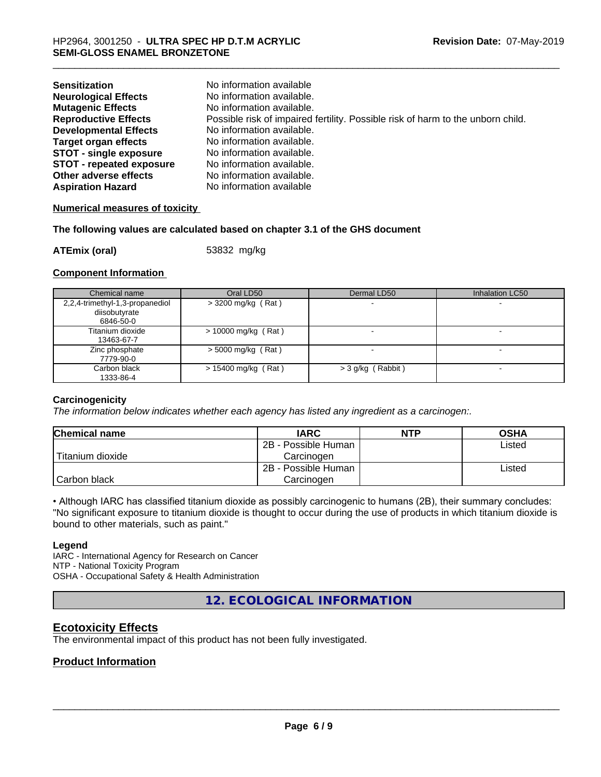| <b>Sensitization</b><br><b>Neurological Effects</b><br><b>Mutagenic Effects</b><br><b>Reproductive Effects</b> | No information available<br>No information available.<br>No information available.<br>Possible risk of impaired fertility. Possible risk of harm to the unborn child. |
|----------------------------------------------------------------------------------------------------------------|-----------------------------------------------------------------------------------------------------------------------------------------------------------------------|
| <b>Developmental Effects</b>                                                                                   | No information available.                                                                                                                                             |
| <b>Target organ effects</b>                                                                                    | No information available.                                                                                                                                             |
| <b>STOT - single exposure</b>                                                                                  | No information available.                                                                                                                                             |
| <b>STOT - repeated exposure</b>                                                                                | No information available.                                                                                                                                             |
| Other adverse effects                                                                                          | No information available.                                                                                                                                             |
| <b>Aspiration Hazard</b>                                                                                       | No information available                                                                                                                                              |

#### **Numerical measures of toxicity**

#### **The following values are calculated based on chapter 3.1 of the GHS document**

**ATEmix (oral)** 53832 mg/kg

#### **Component Information**

| Chemical name                                                 | Oral LD50             | Dermal LD50         | Inhalation LC50 |
|---------------------------------------------------------------|-----------------------|---------------------|-----------------|
| 2,2,4-trimethyl-1,3-propanediol<br>diisobutyrate<br>6846-50-0 | > 3200 mg/kg (Rat)    |                     |                 |
| Titanium dioxide<br>13463-67-7                                | $> 10000$ mg/kg (Rat) |                     |                 |
| Zinc phosphate<br>7779-90-0                                   | $>$ 5000 mg/kg (Rat)  |                     |                 |
| Carbon black<br>1333-86-4                                     | $> 15400$ mg/kg (Rat) | $>$ 3 g/kg (Rabbit) |                 |

#### **Carcinogenicity**

*The information below indicateswhether each agency has listed any ingredient as a carcinogen:.*

| <b>Chemical name</b> | <b>IARC</b>         | <b>NTP</b> | <b>OSHA</b> |
|----------------------|---------------------|------------|-------------|
|                      | 2B - Possible Human |            | Listed      |
| Titanium dioxide     | Carcinoɑen          |            |             |
|                      | 2B - Possible Human |            | Listed      |
| Carbon black         | Carcinogen          |            |             |

• Although IARC has classified titanium dioxide as possibly carcinogenic to humans (2B), their summary concludes: "No significant exposure to titanium dioxide is thought to occur during the use of products in which titanium dioxide is bound to other materials, such as paint."

#### **Legend**

IARC - International Agency for Research on Cancer NTP - National Toxicity Program OSHA - Occupational Safety & Health Administration

**12. ECOLOGICAL INFORMATION**

# **Ecotoxicity Effects**

The environmental impact of this product has not been fully investigated.

# **Product Information**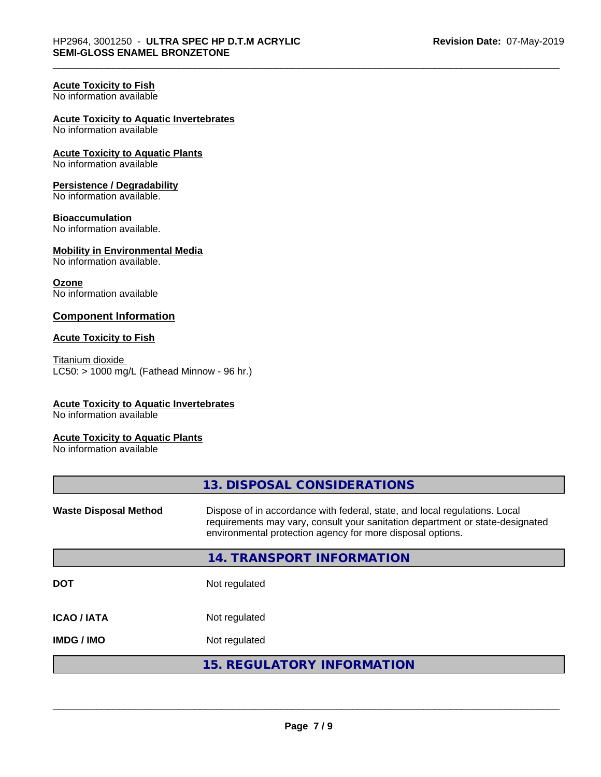# **Acute Toxicity to Fish**

No information available

#### **Acute Toxicity to Aquatic Invertebrates**

No information available

#### **Acute Toxicity to Aquatic Plants** No information available

# **Persistence / Degradability**

No information available.

#### **Bioaccumulation**

No information available.

# **Mobility in Environmental Media**

No information available.

#### **Ozone**

No information available

#### **Component Information**

#### **Acute Toxicity to Fish**

Titanium dioxide  $LC50:$  > 1000 mg/L (Fathead Minnow - 96 hr.)

#### **Acute Toxicity to Aquatic Invertebrates**

No information available

#### **Acute Toxicity to Aquatic Plants**

No information available

|                              | 13. DISPOSAL CONSIDERATIONS                                                                                                                                                                                               |
|------------------------------|---------------------------------------------------------------------------------------------------------------------------------------------------------------------------------------------------------------------------|
| <b>Waste Disposal Method</b> | Dispose of in accordance with federal, state, and local regulations. Local<br>requirements may vary, consult your sanitation department or state-designated<br>environmental protection agency for more disposal options. |
|                              | 14. TRANSPORT INFORMATION                                                                                                                                                                                                 |
| <b>DOT</b>                   | Not regulated                                                                                                                                                                                                             |
| <b>ICAO/IATA</b>             | Not regulated                                                                                                                                                                                                             |
| <b>IMDG / IMO</b>            | Not regulated                                                                                                                                                                                                             |
|                              | <b>15. REGULATORY INFORMATION</b>                                                                                                                                                                                         |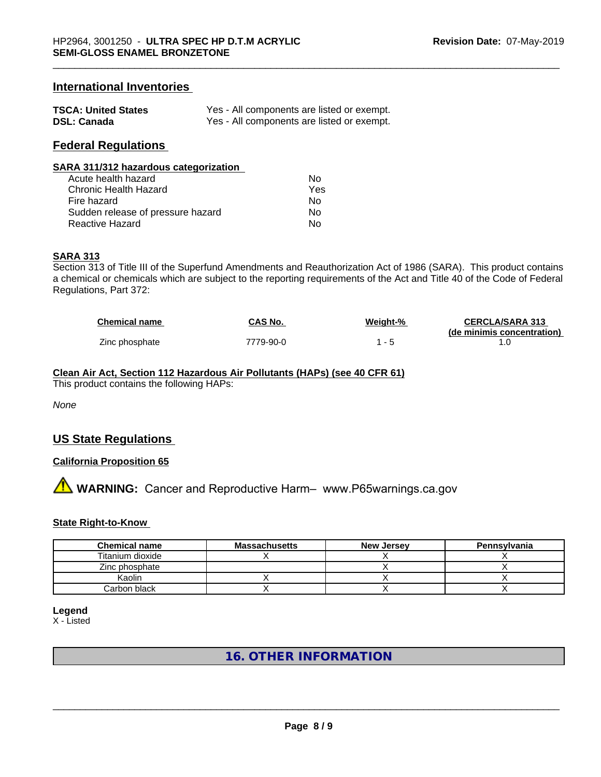# **International Inventories**

| <b>TSCA: United States</b> | Yes - All components are listed or exempt. |
|----------------------------|--------------------------------------------|
| <b>DSL: Canada</b>         | Yes - All components are listed or exempt. |

### **Federal Regulations**

| SARA 311/312 hazardous categorization |     |  |
|---------------------------------------|-----|--|
| Acute health hazard                   | Nο  |  |
| Chronic Health Hazard                 | Yes |  |
| Fire hazard                           | No  |  |
| Sudden release of pressure hazard     | Nο  |  |

Reactive Hazard No. No. 2012 12:30 No. 2012

#### **SARA 313**

Section 313 of Title III of the Superfund Amendments and Reauthorization Act of 1986 (SARA). This product contains a chemical or chemicals which are subject to the reporting requirements of the Act and Title 40 of the Code of Federal Regulations, Part 372:

| <b>Chemical name</b> | CAS No.   | Weight-% | <b>CERCLA/SARA 313</b>     |
|----------------------|-----------|----------|----------------------------|
|                      |           |          | (de minimis concentration) |
| Zinc phosphate       | 7779-90-0 |          |                            |

# **Clean Air Act,Section 112 Hazardous Air Pollutants (HAPs) (see 40 CFR 61)**

This product contains the following HAPs:

*None*

# **US State Regulations**

#### **California Proposition 65**

**A** WARNING: Cancer and Reproductive Harm– www.P65warnings.ca.gov

#### **State Right-to-Know**

| <b>Chemical name</b> | <b>Massachusetts</b> | <b>New Jersey</b> | Pennsylvania |
|----------------------|----------------------|-------------------|--------------|
| Titanium dioxide     |                      |                   |              |
| Zinc phosphate       |                      |                   |              |
| Kaolin               |                      |                   |              |
| Carbon black         |                      |                   |              |

**Legend**

X - Listed

# **16. OTHER INFORMATION**